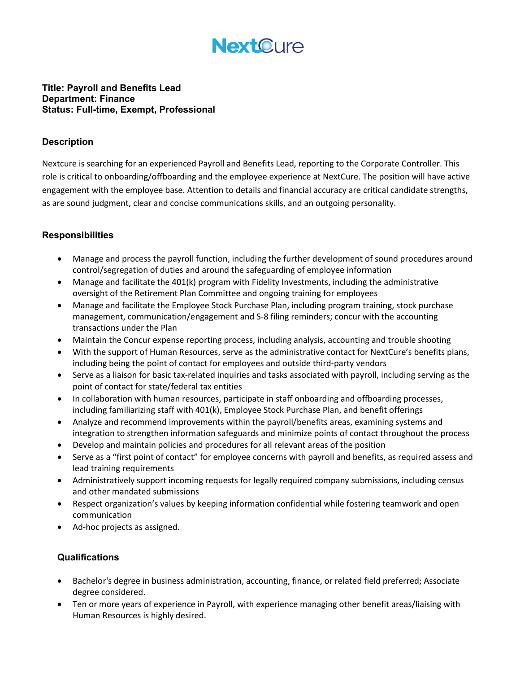

## Title: Payroll and Benefits Lead Department: Finance Status: Full-time, Exempt, Professional

## Description

Nextcure is searching for an experienced Payroll and Benefits Lead, reporting to the Corporate Controller. This role is critical to onboarding/offboarding and the employee experience at NextCure. The position will have active engagement with the employee base. Attention to details and financial accuracy are critical candidate strengths, as are sound judgment, clear and concise communications skills, and an outgoing personality.

## **Responsibilities**

- Manage and process the payroll function, including the further development of sound procedures around control/segregation of duties and around the safeguarding of employee information
- Manage and facilitate the 401(k) program with Fidelity Investments, including the administrative oversight of the Retirement Plan Committee and ongoing training for employees
- Manage and facilitate the Employee Stock Purchase Plan, including program training, stock purchase management, communication/engagement and S-8 filing reminders; concur with the accounting transactions under the Plan
- Maintain the Concur expense reporting process, including analysis, accounting and trouble shooting
- With the support of Human Resources, serve as the administrative contact for NextCure's benefits plans, including being the point of contact for employees and outside third-party vendors
- Serve as a liaison for basic tax-related inquiries and tasks associated with payroll, including serving as the point of contact for state/federal tax entities
- In collaboration with human resources, participate in staff onboarding and offboarding processes, including familiarizing staff with 401(k), Employee Stock Purchase Plan, and benefit offerings
- Analyze and recommend improvements within the payroll/benefits areas, examining systems and integration to strengthen information safeguards and minimize points of contact throughout the process
- Develop and maintain policies and procedures for all relevant areas of the position
- Serve as a "first point of contact" for employee concerns with payroll and benefits, as required assess and lead training requirements
- Administratively support incoming requests for legally required company submissions, including census and other mandated submissions
- Respect organization's values by keeping information confidential while fostering teamwork and open communication
- Ad-hoc projects as assigned.

## **Qualifications**

- Bachelor's degree in business administration, accounting, finance, or related field preferred; Associate degree considered.
- Ten or more years of experience in Payroll, with experience managing other benefit areas/liaising with Human Resources is highly desired.